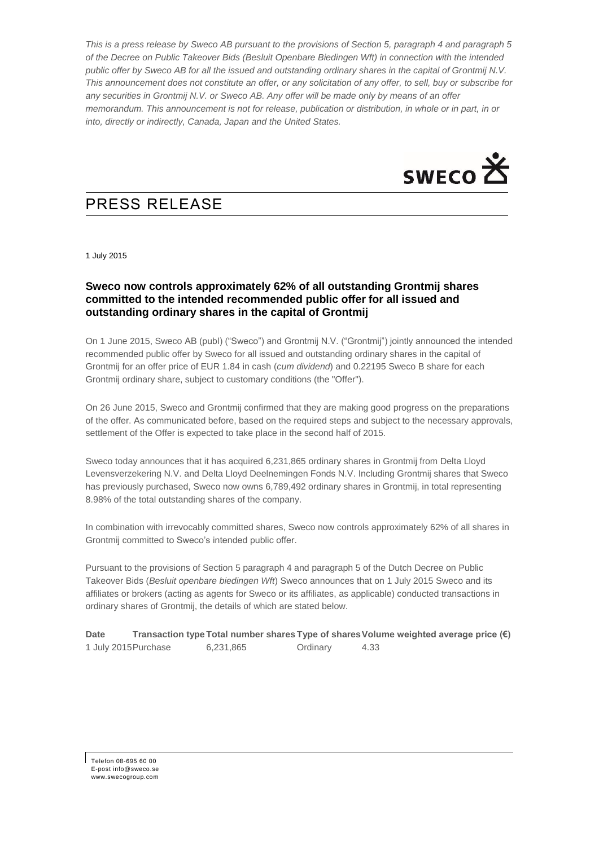*This is a press release by Sweco AB pursuant to the provisions of Section 5, paragraph 4 and paragraph 5 of the Decree on Public Takeover Bids (Besluit Openbare Biedingen Wft) in connection with the intended public offer by Sweco AB for all the issued and outstanding ordinary shares in the capital of Grontmij N.V. This announcement does not constitute an offer, or any solicitation of any offer, to sell, buy or subscribe for any securities in Grontmij N.V. or Sweco AB. Any offer will be made only by means of an offer memorandum. This announcement is not for release, publication or distribution, in whole or in part, in or into, directly or indirectly, Canada, Japan and the United States.*



# PRESS RELEASE

1 July 2015

## **Sweco now controls approximately 62% of all outstanding Grontmij shares committed to the intended recommended public offer for all issued and outstanding ordinary shares in the capital of Grontmij**

On 1 June 2015, Sweco AB (publ) ("Sweco") and Grontmij N.V. ("Grontmij") jointly announced the intended recommended public offer by Sweco for all issued and outstanding ordinary shares in the capital of Grontmij for an offer price of EUR 1.84 in cash (*cum dividend*) and 0.22195 Sweco B share for each Grontmij ordinary share, subject to customary conditions (the "Offer").

On 26 June 2015, Sweco and Grontmij confirmed that they are making good progress on the preparations of the offer. As communicated before, based on the required steps and subject to the necessary approvals, settlement of the Offer is expected to take place in the second half of 2015.

Sweco today announces that it has acquired 6,231,865 ordinary shares in Grontmij from Delta Lloyd Levensverzekering N.V. and Delta Lloyd Deelnemingen Fonds N.V. Including Grontmij shares that Sweco has previously purchased, Sweco now owns 6,789,492 ordinary shares in Grontmij, in total representing 8.98% of the total outstanding shares of the company.

In combination with irrevocably committed shares, Sweco now controls approximately 62% of all shares in Grontmij committed to Sweco's intended public offer.

Pursuant to the provisions of Section 5 paragraph 4 and paragraph 5 of the Dutch Decree on Public Takeover Bids (*Besluit openbare biedingen Wft*) Sweco announces that on 1 July 2015 Sweco and its affiliates or brokers (acting as agents for Sweco or its affiliates, as applicable) conducted transactions in ordinary shares of Grontmij, the details of which are stated below.

**Date Transaction type Total number shares Type of shares Volume weighted average price (€)** 1 July 2015Purchase 6,231,865 Ordinary 4.33